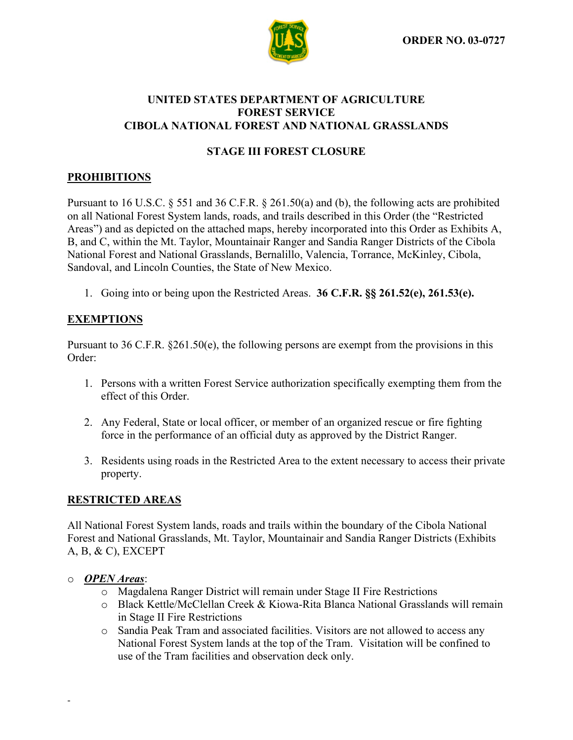

### **UNITED STATES DEPARTMENT OF AGRICULTURE FOREST SERVICE CIBOLA NATIONAL FOREST AND NATIONAL GRASSLANDS**

# **STAGE III FOREST CLOSURE**

# **PROHIBITIONS**

Pursuant to 16 U.S.C. § 551 and 36 C.F.R. § 261.50(a) and (b), the following acts are prohibited on all National Forest System lands, roads, and trails described in this Order (the "Restricted Areas") and as depicted on the attached maps, hereby incorporated into this Order as Exhibits A, B, and C, within the Mt. Taylor, Mountainair Ranger and Sandia Ranger Districts of the Cibola National Forest and National Grasslands, Bernalillo, Valencia, Torrance, McKinley, Cibola, Sandoval, and Lincoln Counties, the State of New Mexico.

1. Going into or being upon the Restricted Areas. **36 C.F.R. §§ 261.52(e), 261.53(e).**

## **EXEMPTIONS**

Pursuant to 36 C.F.R. §261.50(e), the following persons are exempt from the provisions in this Order:

- 1. Persons with a written Forest Service authorization specifically exempting them from the effect of this Order.
- 2. Any Federal, State or local officer, or member of an organized rescue or fire fighting force in the performance of an official duty as approved by the District Ranger.
- 3. Residents using roads in the Restricted Area to the extent necessary to access their private property.

### **RESTRICTED AREAS**

All National Forest System lands, roads and trails within the boundary of the Cibola National Forest and National Grasslands, Mt. Taylor, Mountainair and Sandia Ranger Districts (Exhibits A, B, & C), EXCEPT

### o *OPEN Areas*:

-

- o Magdalena Ranger District will remain under Stage II Fire Restrictions
- o Black Kettle/McClellan Creek & Kiowa-Rita Blanca National Grasslands will remain in Stage II Fire Restrictions
- o Sandia Peak Tram and associated facilities. Visitors are not allowed to access any National Forest System lands at the top of the Tram. Visitation will be confined to use of the Tram facilities and observation deck only.